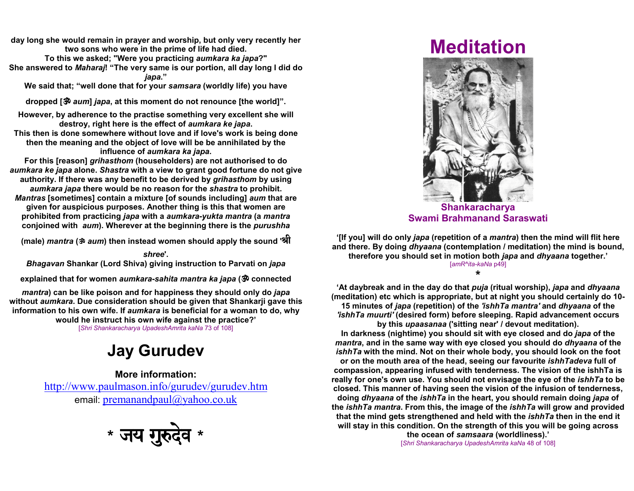day long she would remain in prayer and worship, but only very recently hertwo sons who were in the prime of life had died.To this we asked; "Were you practicing *aumkara ka japa*?" She answered to *Maharaj*! "The very same is our portion, all day long I did do iapa."

We said that; "well done that for your s*amsara* (worldly life) you have

dropped [` aum] japa, at this moment do not renounce [the world]".

However, by adherence to the practise something very excellent she willdestroy, right here is the effect of aumkara ke japa. This then is done somewhere without love and if love's work is being donethen the meaning and the object of love will be be annihilated by theinfluence of aumkara ka japa.

 For this [reason] grihasthom (householders) are not authorised to do aumkara ke japa alone. Shastra with a view to grant good fortune do not giveauthority. If there was any benefit to be derived by grihasthom by usingaumkara japa there would be no reason for the shastra to prohibit.Mantras [sometimes] contain a mixture [of sounds including] aum that are

given for auspicious purposes. Another thing is this that women areprohibited from practicing *japa* with a *aumkara-yukta mantra* (a *mantra* conjoined with *aum*). Wherever at the beginning there is the *purushha* 

(male) *mantra* (ॐ *aum*) then instead women should apply the sound 'श्री

shree'.Bhagavan Shankar (Lord Shiva) giving instruction to Parvati on japa

explained that for women *aumkara-sahita mantra ka japa* ( $\ddot{\mathcal{P}}$  connected

mantra) can be like poison and for happiness they should only do *japa* without *aumkara*. Due consideration should be given that Shankarji gave this information to his own wife. If *aumkara* is beneficial for a woman to do, why would he instruct his own wife against the practice?'

[Shri Shankaracharya UpadeshAmrita kaNa 73 of 108]

## Jay Gurudev

More information:http://www.paulmason.info/gurudev/gurudev.htm email: <u>premanandpaul@yahoo.co.uk</u>



## Meditation



ShankaracharyaSwami Brahmanand Saraswati

'[If you] will do only japa (repetition of a mantra) then the mind will flit hereand there. By doing *dhyaana* (contemplation / meditation) the mind is bound, therefore you should set in motion both japa and dhyaana together.'[amR^ita-kaNa p49]

\*

'At daybreak and in the day do that *puja* (ritual worship), *japa* and *dhyaana*  (meditation) etc which is appropriate, but at night you should certainly do 10-15 minutes of japa (repetition) of the 'ishhTa mantra' and dhyaana of the 'ishhTa muurti' (desired form) before sleeping. Rapid advancement occursby this upaasanaa ('sitting near' / devout meditation).

In darkness (nightime) you should sit with eye closed and do *japa* of the mantra, and in the same way with eye closed you should do dhyaana of the ishhTa with the mind. Not on their whole body, you should look on the footor on the mouth area of the head, seeing our favourite *ishhTadeva* full of compassion, appearing infused with tenderness. The vision of the ishhTa isreally for one's own use. You should not envisage the eye of the *ishhTa* to be closed. This manner of having seen the vision of the infusion of tenderness,doing dhyaana of the *ishhTa* in the heart, you should remain doing japa of the ishhTa mantra. From this, the image of the ishhTa will grow and providedthat the mind gets strengthened and held with the *ishhTa* then in the end it will stay in this condition. On the strength of this you will be going across

the ocean of samsaara (worldliness).'[Shri Shankaracharya UpadeshAmrita kaNa 48 of 108]